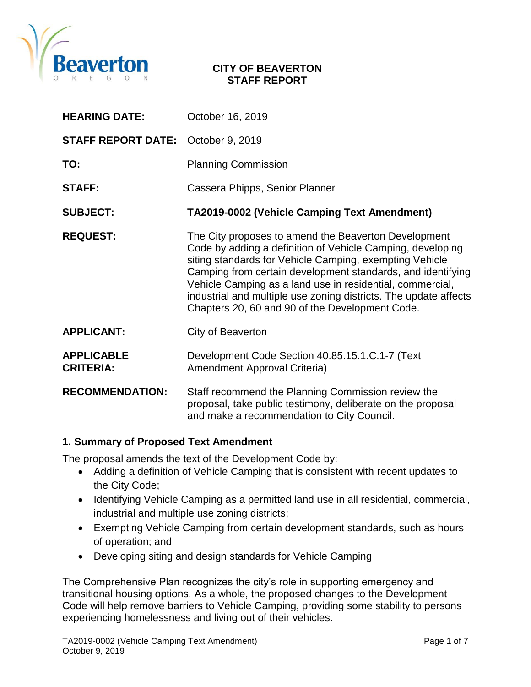

#### **CITY OF BEAVERTON STAFF REPORT**

| <b>HEARING DATE:</b>                  | October 16, 2019                                                                                                                                                                                                                                                                                                                                                                                                                 |
|---------------------------------------|----------------------------------------------------------------------------------------------------------------------------------------------------------------------------------------------------------------------------------------------------------------------------------------------------------------------------------------------------------------------------------------------------------------------------------|
| <b>STAFF REPORT DATE:</b>             | October 9, 2019                                                                                                                                                                                                                                                                                                                                                                                                                  |
| TO:                                   | <b>Planning Commission</b>                                                                                                                                                                                                                                                                                                                                                                                                       |
| <b>STAFF:</b>                         | Cassera Phipps, Senior Planner                                                                                                                                                                                                                                                                                                                                                                                                   |
| <b>SUBJECT:</b>                       | TA2019-0002 (Vehicle Camping Text Amendment)                                                                                                                                                                                                                                                                                                                                                                                     |
| <b>REQUEST:</b>                       | The City proposes to amend the Beaverton Development<br>Code by adding a definition of Vehicle Camping, developing<br>siting standards for Vehicle Camping, exempting Vehicle<br>Camping from certain development standards, and identifying<br>Vehicle Camping as a land use in residential, commercial,<br>industrial and multiple use zoning districts. The update affects<br>Chapters 20, 60 and 90 of the Development Code. |
| <b>APPLICANT:</b>                     | City of Beaverton                                                                                                                                                                                                                                                                                                                                                                                                                |
| <b>APPLICABLE</b><br><b>CRITERIA:</b> | Development Code Section 40.85.15.1.C.1-7 (Text<br>Amendment Approval Criteria)                                                                                                                                                                                                                                                                                                                                                  |
| <b>RECOMMENDATION:</b>                | Staff recommend the Planning Commission review the<br>proposal, take public testimony, deliberate on the proposal<br>and make a recommendation to City Council.                                                                                                                                                                                                                                                                  |

#### **1. Summary of Proposed Text Amendment**

The proposal amends the text of the Development Code by:

- Adding a definition of Vehicle Camping that is consistent with recent updates to the City Code;
- Identifying Vehicle Camping as a permitted land use in all residential, commercial, industrial and multiple use zoning districts;
- Exempting Vehicle Camping from certain development standards, such as hours of operation; and
- Developing siting and design standards for Vehicle Camping

The Comprehensive Plan recognizes the city's role in supporting emergency and transitional housing options. As a whole, the proposed changes to the Development Code will help remove barriers to Vehicle Camping, providing some stability to persons experiencing homelessness and living out of their vehicles.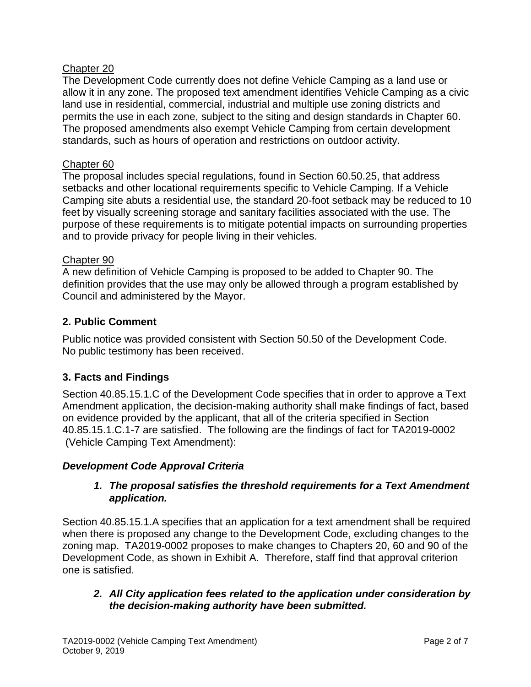### Chapter 20

The Development Code currently does not define Vehicle Camping as a land use or allow it in any zone. The proposed text amendment identifies Vehicle Camping as a civic land use in residential, commercial, industrial and multiple use zoning districts and permits the use in each zone, subject to the siting and design standards in Chapter 60. The proposed amendments also exempt Vehicle Camping from certain development standards, such as hours of operation and restrictions on outdoor activity.

# Chapter 60

The proposal includes special regulations, found in Section 60.50.25, that address setbacks and other locational requirements specific to Vehicle Camping. If a Vehicle Camping site abuts a residential use, the standard 20-foot setback may be reduced to 10 feet by visually screening storage and sanitary facilities associated with the use. The purpose of these requirements is to mitigate potential impacts on surrounding properties and to provide privacy for people living in their vehicles.

# Chapter 90

A new definition of Vehicle Camping is proposed to be added to Chapter 90. The definition provides that the use may only be allowed through a program established by Council and administered by the Mayor.

# **2. Public Comment**

Public notice was provided consistent with Section 50.50 of the Development Code. No public testimony has been received.

# **3. Facts and Findings**

Section 40.85.15.1.C of the Development Code specifies that in order to approve a Text Amendment application, the decision-making authority shall make findings of fact, based on evidence provided by the applicant, that all of the criteria specified in Section 40.85.15.1.C.1-7 are satisfied. The following are the findings of fact for TA2019-0002 (Vehicle Camping Text Amendment):

# *Development Code Approval Criteria*

### *1. The proposal satisfies the threshold requirements for a Text Amendment application.*

Section 40.85.15.1.A specifies that an application for a text amendment shall be required when there is proposed any change to the Development Code, excluding changes to the zoning map. TA2019-0002 proposes to make changes to Chapters 20, 60 and 90 of the Development Code, as shown in Exhibit A. Therefore, staff find that approval criterion one is satisfied.

# *2. All City application fees related to the application under consideration by the decision-making authority have been submitted.*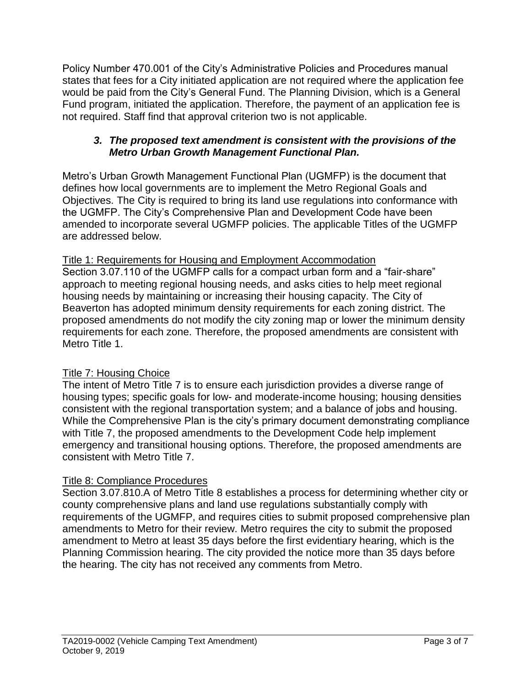Policy Number 470.001 of the City's Administrative Policies and Procedures manual states that fees for a City initiated application are not required where the application fee would be paid from the City's General Fund. The Planning Division, which is a General Fund program, initiated the application. Therefore, the payment of an application fee is not required. Staff find that approval criterion two is not applicable.

### *3. The proposed text amendment is consistent with the provisions of the Metro Urban Growth Management Functional Plan.*

Metro's Urban Growth Management Functional Plan (UGMFP) is the document that defines how local governments are to implement the Metro Regional Goals and Objectives. The City is required to bring its land use regulations into conformance with the UGMFP. The City's Comprehensive Plan and Development Code have been amended to incorporate several UGMFP policies. The applicable Titles of the UGMFP are addressed below.

# Title 1: Requirements for Housing and Employment Accommodation

Section 3.07.110 of the UGMFP calls for a compact urban form and a "fair-share" approach to meeting regional housing needs, and asks cities to help meet regional housing needs by maintaining or increasing their housing capacity. The City of Beaverton has adopted minimum density requirements for each zoning district. The proposed amendments do not modify the city zoning map or lower the minimum density requirements for each zone. Therefore, the proposed amendments are consistent with Metro Title 1.

# Title 7: Housing Choice

The intent of Metro Title 7 is to ensure each jurisdiction provides a diverse range of housing types; specific goals for low- and moderate-income housing; housing densities consistent with the regional transportation system; and a balance of jobs and housing. While the Comprehensive Plan is the city's primary document demonstrating compliance with Title 7, the proposed amendments to the Development Code help implement emergency and transitional housing options. Therefore, the proposed amendments are consistent with Metro Title 7.

### Title 8: Compliance Procedures

Section 3.07.810.A of Metro Title 8 establishes a process for determining whether city or county comprehensive plans and land use regulations substantially comply with requirements of the UGMFP, and requires cities to submit proposed comprehensive plan amendments to Metro for their review. Metro requires the city to submit the proposed amendment to Metro at least 35 days before the first evidentiary hearing, which is the Planning Commission hearing. The city provided the notice more than 35 days before the hearing. The city has not received any comments from Metro.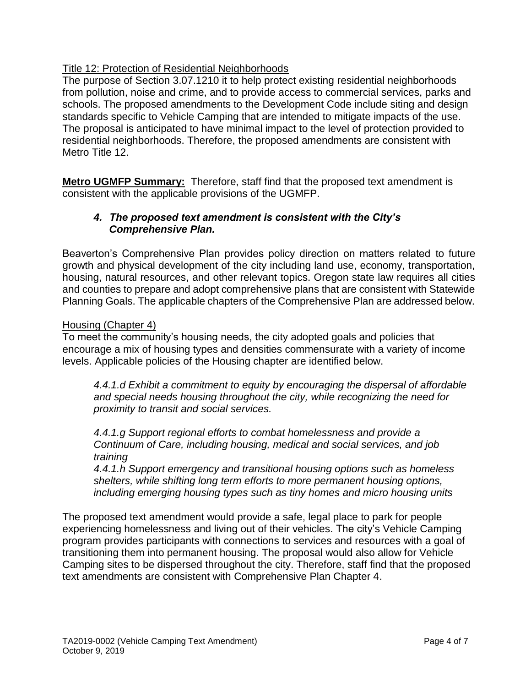# Title 12: Protection of Residential Neighborhoods

The purpose of Section 3.07.1210 it to help protect existing residential neighborhoods from pollution, noise and crime, and to provide access to commercial services, parks and schools. The proposed amendments to the Development Code include siting and design standards specific to Vehicle Camping that are intended to mitigate impacts of the use. The proposal is anticipated to have minimal impact to the level of protection provided to residential neighborhoods. Therefore, the proposed amendments are consistent with Metro Title 12.

**Metro UGMFP Summary:** Therefore, staff find that the proposed text amendment is consistent with the applicable provisions of the UGMFP.

### *4. The proposed text amendment is consistent with the City's Comprehensive Plan.*

Beaverton's Comprehensive Plan provides policy direction on matters related to future growth and physical development of the city including land use, economy, transportation, housing, natural resources, and other relevant topics. Oregon state law requires all cities and counties to prepare and adopt comprehensive plans that are consistent with Statewide Planning Goals. The applicable chapters of the Comprehensive Plan are addressed below.

### Housing (Chapter 4)

To meet the community's housing needs, the city adopted goals and policies that encourage a mix of housing types and densities commensurate with a variety of income levels. Applicable policies of the Housing chapter are identified below.

*4.4.1.d Exhibit a commitment to equity by encouraging the dispersal of affordable and special needs housing throughout the city, while recognizing the need for proximity to transit and social services.* 

*4.4.1.g Support regional efforts to combat homelessness and provide a Continuum of Care, including housing, medical and social services, and job training*

*4.4.1.h Support emergency and transitional housing options such as homeless shelters, while shifting long term efforts to more permanent housing options, including emerging housing types such as tiny homes and micro housing units*

The proposed text amendment would provide a safe, legal place to park for people experiencing homelessness and living out of their vehicles. The city's Vehicle Camping program provides participants with connections to services and resources with a goal of transitioning them into permanent housing. The proposal would also allow for Vehicle Camping sites to be dispersed throughout the city. Therefore, staff find that the proposed text amendments are consistent with Comprehensive Plan Chapter 4.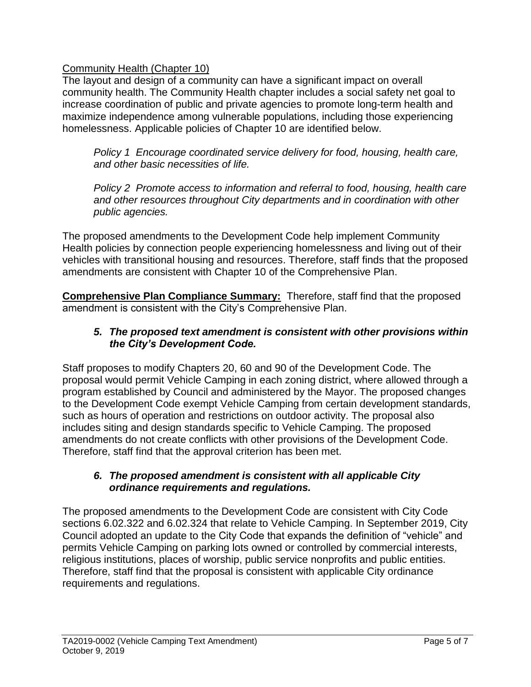# Community Health (Chapter 10)

The layout and design of a community can have a significant impact on overall community health. The Community Health chapter includes a social safety net goal to increase coordination of public and private agencies to promote long-term health and maximize independence among vulnerable populations, including those experiencing homelessness. Applicable policies of Chapter 10 are identified below.

*Policy 1 Encourage coordinated service delivery for food, housing, health care, and other basic necessities of life.*

*Policy 2 Promote access to information and referral to food, housing, health care and other resources throughout City departments and in coordination with other public agencies.*

The proposed amendments to the Development Code help implement Community Health policies by connection people experiencing homelessness and living out of their vehicles with transitional housing and resources. Therefore, staff finds that the proposed amendments are consistent with Chapter 10 of the Comprehensive Plan.

**Comprehensive Plan Compliance Summary:** Therefore, staff find that the proposed amendment is consistent with the City's Comprehensive Plan.

### *5. The proposed text amendment is consistent with other provisions within the City's Development Code.*

Staff proposes to modify Chapters 20, 60 and 90 of the Development Code. The proposal would permit Vehicle Camping in each zoning district, where allowed through a program established by Council and administered by the Mayor. The proposed changes to the Development Code exempt Vehicle Camping from certain development standards, such as hours of operation and restrictions on outdoor activity. The proposal also includes siting and design standards specific to Vehicle Camping. The proposed amendments do not create conflicts with other provisions of the Development Code. Therefore, staff find that the approval criterion has been met.

#### *6. The proposed amendment is consistent with all applicable City ordinance requirements and regulations.*

The proposed amendments to the Development Code are consistent with City Code sections 6.02.322 and 6.02.324 that relate to Vehicle Camping. In September 2019, City Council adopted an update to the City Code that expands the definition of "vehicle" and permits Vehicle Camping on parking lots owned or controlled by commercial interests, religious institutions, places of worship, public service nonprofits and public entities. Therefore, staff find that the proposal is consistent with applicable City ordinance requirements and regulations.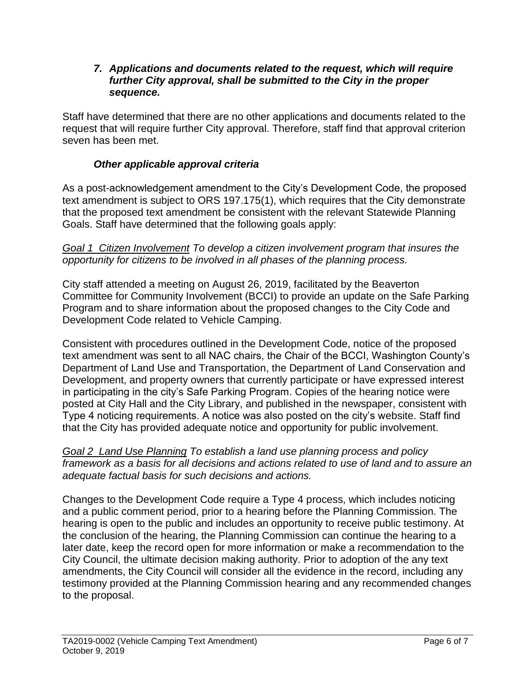#### *7. Applications and documents related to the request, which will require further City approval, shall be submitted to the City in the proper sequence.*

Staff have determined that there are no other applications and documents related to the request that will require further City approval. Therefore, staff find that approval criterion seven has been met.

# *Other applicable approval criteria*

As a post-acknowledgement amendment to the City's Development Code, the proposed text amendment is subject to ORS 197.175(1), which requires that the City demonstrate that the proposed text amendment be consistent with the relevant Statewide Planning Goals. Staff have determined that the following goals apply:

#### *Goal 1 Citizen Involvement To develop a citizen involvement program that insures the opportunity for citizens to be involved in all phases of the planning process.*

City staff attended a meeting on August 26, 2019, facilitated by the Beaverton Committee for Community Involvement (BCCI) to provide an update on the Safe Parking Program and to share information about the proposed changes to the City Code and Development Code related to Vehicle Camping.

Consistent with procedures outlined in the Development Code, notice of the proposed text amendment was sent to all NAC chairs, the Chair of the BCCI, Washington County's Department of Land Use and Transportation, the Department of Land Conservation and Development, and property owners that currently participate or have expressed interest in participating in the city's Safe Parking Program. Copies of the hearing notice were posted at City Hall and the City Library, and published in the newspaper, consistent with Type 4 noticing requirements. A notice was also posted on the city's website. Staff find that the City has provided adequate notice and opportunity for public involvement.

*Goal 2 Land Use Planning To establish a land use planning process and policy framework as a basis for all decisions and actions related to use of land and to assure an adequate factual basis for such decisions and actions.*

Changes to the Development Code require a Type 4 process, which includes noticing and a public comment period, prior to a hearing before the Planning Commission. The hearing is open to the public and includes an opportunity to receive public testimony. At the conclusion of the hearing, the Planning Commission can continue the hearing to a later date, keep the record open for more information or make a recommendation to the City Council, the ultimate decision making authority. Prior to adoption of the any text amendments, the City Council will consider all the evidence in the record, including any testimony provided at the Planning Commission hearing and any recommended changes to the proposal.